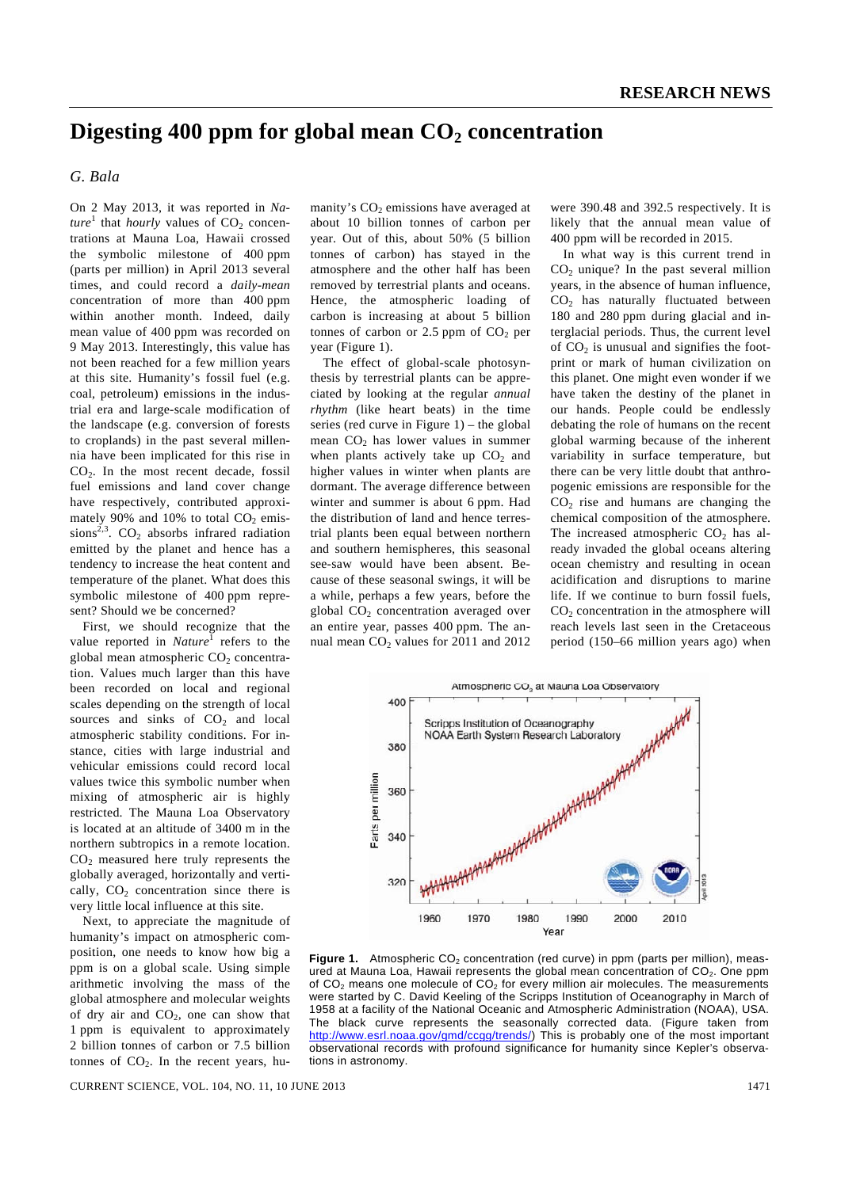# Digesting 400 ppm for global mean  $CO<sub>2</sub>$  concentration

### *G. Bala*

On 2 May 2013, it was reported in *Na* $ture<sup>1</sup>$  that *hourly* values of  $CO<sub>2</sub>$  concentrations at Mauna Loa, Hawaii crossed the symbolic milestone of 400 ppm (parts per million) in April 2013 several times, and could record a *daily-mean*  concentration of more than 400 ppm within another month. Indeed, daily mean value of 400 ppm was recorded on 9 May 2013. Interestingly, this value has not been reached for a few million years at this site. Humanity's fossil fuel (e.g. coal, petroleum) emissions in the industrial era and large-scale modification of the landscape (e.g. conversion of forests to croplands) in the past several millennia have been implicated for this rise in  $CO<sub>2</sub>$ . In the most recent decade, fossil fuel emissions and land cover change have respectively, contributed approximately 90% and 10% to total  $CO<sub>2</sub>$  emissions<sup>2,3</sup>. CO<sub>2</sub> absorbs infrared radiation emitted by the planet and hence has a tendency to increase the heat content and temperature of the planet. What does this symbolic milestone of 400 ppm represent? Should we be concerned?

 First, we should recognize that the value reported in *Nature*<sup>1</sup> refers to the global mean atmospheric  $CO<sub>2</sub>$  concentration. Values much larger than this have been recorded on local and regional scales depending on the strength of local sources and sinks of  $CO<sub>2</sub>$  and local atmospheric stability conditions. For instance, cities with large industrial and vehicular emissions could record local values twice this symbolic number when mixing of atmospheric air is highly restricted. The Mauna Loa Observatory is located at an altitude of 3400 m in the northern subtropics in a remote location.  $CO<sub>2</sub>$  measured here truly represents the globally averaged, horizontally and vertically,  $CO<sub>2</sub>$  concentration since there is very little local influence at this site.

 Next, to appreciate the magnitude of humanity's impact on atmospheric composition, one needs to know how big a ppm is on a global scale. Using simple arithmetic involving the mass of the global atmosphere and molecular weights of dry air and  $CO<sub>2</sub>$ , one can show that 1 ppm is equivalent to approximately 2 billion tonnes of carbon or 7.5 billion tonnes of  $CO<sub>2</sub>$ . In the recent years, hu-

manity's  $CO<sub>2</sub>$  emissions have averaged at about 10 billion tonnes of carbon per year. Out of this, about 50% (5 billion tonnes of carbon) has stayed in the atmosphere and the other half has been removed by terrestrial plants and oceans. Hence, the atmospheric loading of carbon is increasing at about 5 billion tonnes of carbon or  $2.5$  ppm of  $CO<sub>2</sub>$  per year (Figure 1).

 The effect of global-scale photosynthesis by terrestrial plants can be appreciated by looking at the regular *annual rhythm* (like heart beats) in the time series (red curve in Figure 1) – the global mean  $CO<sub>2</sub>$  has lower values in summer when plants actively take up  $CO<sub>2</sub>$  and higher values in winter when plants are dormant. The average difference between winter and summer is about 6 ppm. Had the distribution of land and hence terrestrial plants been equal between northern and southern hemispheres, this seasonal see-saw would have been absent. Because of these seasonal swings, it will be a while, perhaps a few years, before the global  $CO<sub>2</sub>$  concentration averaged over an entire year, passes 400 ppm. The annual mean  $CO<sub>2</sub>$  values for 2011 and 2012 were 390.48 and 392.5 respectively. It is likely that the annual mean value of 400 ppm will be recorded in 2015.

 In what way is this current trend in  $CO<sub>2</sub>$  unique? In the past several million years, in the absence of human influence, CO2 has naturally fluctuated between 180 and 280 ppm during glacial and interglacial periods. Thus, the current level of  $CO<sub>2</sub>$  is unusual and signifies the footprint or mark of human civilization on this planet. One might even wonder if we have taken the destiny of the planet in our hands. People could be endlessly debating the role of humans on the recent global warming because of the inherent variability in surface temperature, but there can be very little doubt that anthropogenic emissions are responsible for the  $CO<sub>2</sub>$  rise and humans are changing the chemical composition of the atmosphere. The increased atmospheric  $CO<sub>2</sub>$  has already invaded the global oceans altering ocean chemistry and resulting in ocean acidification and disruptions to marine life. If we continue to burn fossil fuels,  $CO<sub>2</sub>$  concentration in the atmosphere will reach levels last seen in the Cretaceous period (150–66 million years ago) when



**Figure 1.** Atmospheric CO<sub>2</sub> concentration (red curve) in ppm (parts per million), measured at Mauna Loa, Hawaii represents the global mean concentration of CO2. One ppm of  $CO<sub>2</sub>$  means one molecule of  $CO<sub>2</sub>$  for every million air molecules. The measurements were started by C. David Keeling of the Scripps Institution of Oceanography in March of 1958 at a facility of the National Oceanic and Atmospheric Administration (NOAA), USA. The black curve represents the seasonally corrected data. (Figure taken from http://www.esrl.noaa.gov/gmd/ccgg/trends/) This is probably one of the most important observational records with profound significance for humanity since Kepler's observations in astronomy.